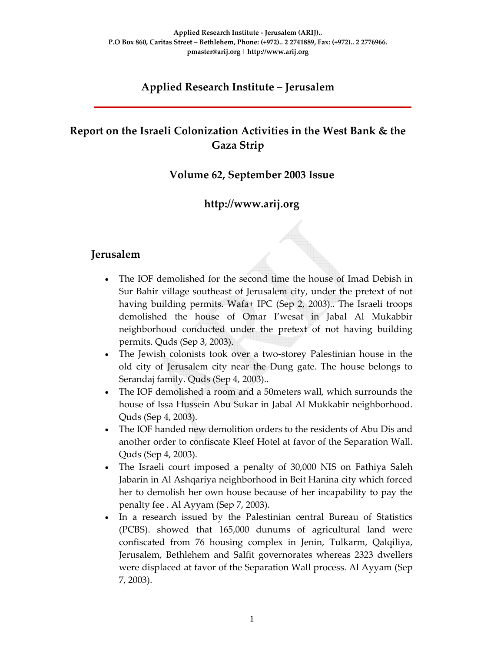## **Applied Research Institute – Jerusalem**

## **Report on the Israeli Colonization Activities in the West Bank & the Gaza Strip**

#### **Volume 62, September 2003 Issue**

### **http://www.arij.org**

#### **Jerusalem**

- The IOF demolished for the second time the house of Imad Debish in Sur Bahir village southeast of Jerusalem city, under the pretext of not having building permits. Wafa+ IPC (Sep 2, 2003).. The Israeli troops demolished the house of Omar I'wesat in Jabal Al Mukabbir neighborhood conducted under the pretext of not having building permits. Quds (Sep 3, 2003).
- The Jewish colonists took over a two-storey Palestinian house in the old city of Jerusalem city near the Dung gate. The house belongs to Serandaj family. Quds (Sep 4, 2003)..
- The IOF demolished a room and a 50meters wall, which surrounds the house of Issa Hussein Abu Sukar in Jabal Al Mukkabir neighborhood. Quds (Sep 4, 2003).
- The IOF handed new demolition orders to the residents of Abu Dis and another order to confiscate Kleef Hotel at favor of the Separation Wall. Quds (Sep 4, 2003).
- The Israeli court imposed a penalty of 30,000 NIS on Fathiya Saleh Jabarin in Al Ashqariya neighborhood in Beit Hanina city which forced her to demolish her own house because of her incapability to pay the penalty fee . Al Ayyam (Sep 7, 2003).
- In a research issued by the Palestinian central Bureau of Statistics (PCBS). showed that 165,000 dunums of agricultural land were confiscated from 76 housing complex in Jenin, Tulkarm, Qalqiliya, Jerusalem, Bethlehem and Salfit governorates whereas 2323 dwellers were displaced at favor of the Separation Wall process. Al Ayyam (Sep 7, 2003).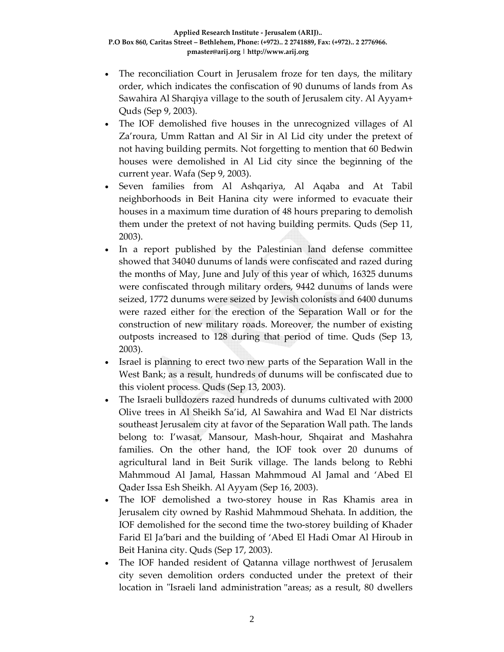- The reconciliation Court in Jerusalem froze for ten days, the military order, which indicates the confiscation of 90 dunums of lands from As Sawahira Al Sharqiya village to the south of Jerusalem city. Al Ayyam+ Quds (Sep 9, 2003).
- The IOF demolished five houses in the unrecognized villages of Al Za'roura, Umm Rattan and Al Sir in Al Lid city under the pretext of not having building permits. Not forgetting to mention that 60 Bedwin houses were demolished in Al Lid city since the beginning of the current year. Wafa (Sep 9, 2003).
- Seven families from Al Ashqariya, Al Aqaba and At Tabil neighborhoods in Beit Hanina city were informed to evacuate their houses in a maximum time duration of 48 hours preparing to demolish them under the pretext of not having building permits. Quds (Sep 11, 2003).
- In a report published by the Palestinian land defense committee showed that 34040 dunums of lands were confiscated and razed during the months of May, June and July of this year of which, 16325 dunums were confiscated through military orders, 9442 dunums of lands were seized, 1772 dunums were seized by Jewish colonists and 6400 dunums were razed either for the erection of the Separation Wall or for the construction of new military roads. Moreover, the number of existing outposts increased to 128 during that period of time. Quds (Sep 13, 2003).
- Israel is planning to erect two new parts of the Separation Wall in the West Bank; as a result, hundreds of dunums will be confiscated due to this violent process. Quds (Sep 13, 2003).
- The Israeli bulldozers razed hundreds of dunums cultivated with 2000 Olive trees in Al Sheikh Sa'id, Al Sawahira and Wad El Nar districts southeast Jerusalem city at favor of the Separation Wall path. The lands belong to: I'wasat, Mansour, Mash‐hour, Shqairat and Mashahra families. On the other hand, the IOF took over 20 dunums of agricultural land in Beit Surik village. The lands belong to Rebhi Mahmmoud Al Jamal, Hassan Mahmmoud Al Jamal and 'Abed El Qader Issa Esh Sheikh. Al Ayyam (Sep 16, 2003).
- The IOF demolished a two-storey house in Ras Khamis area in Jerusalem city owned by Rashid Mahmmoud Shehata. In addition, the IOF demolished for the second time the two‐storey building of Khader Farid El Ja'bari and the building of 'Abed El Hadi Omar Al Hiroub in Beit Hanina city. Quds (Sep 17, 2003).
- The IOF handed resident of Qatanna village northwest of Jerusalem city seven demolition orders conducted under the pretext of their location in "Israeli land administration "areas; as a result, 80 dwellers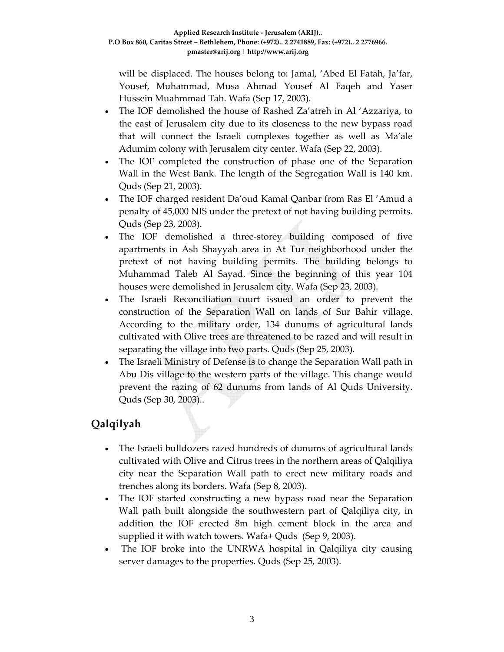will be displaced. The houses belong to: Jamal, 'Abed El Fatah, Ja'far, Yousef, Muhammad, Musa Ahmad Yousef Al Faqeh and Yaser Hussein Muahmmad Tah. Wafa (Sep 17, 2003).

- The IOF demolished the house of Rashed Za'atreh in Al 'Azzariya, to the east of Jerusalem city due to its closeness to the new bypass road that will connect the Israeli complexes together as well as Ma'ale Adumim colony with Jerusalem city center. Wafa (Sep 22, 2003).
- The IOF completed the construction of phase one of the Separation Wall in the West Bank. The length of the Segregation Wall is 140 km. Quds (Sep 21, 2003).
- The IOF charged resident Da'oud Kamal Qanbar from Ras El 'Amud a penalty of 45,000 NIS under the pretext of not having building permits. Quds (Sep 23, 2003).
- The IOF demolished a three-storey building composed of five apartments in Ash Shayyah area in At Tur neighborhood under the pretext of not having building permits. The building belongs to Muhammad Taleb Al Sayad. Since the beginning of this year 104 houses were demolished in Jerusalem city. Wafa (Sep 23, 2003).
- The Israeli Reconciliation court issued an order to prevent the construction of the Separation Wall on lands of Sur Bahir village. According to the military order, 134 dunums of agricultural lands cultivated with Olive trees are threatened to be razed and will result in separating the village into two parts. Quds (Sep 25, 2003).
- The Israeli Ministry of Defense is to change the Separation Wall path in Abu Dis village to the western parts of the village. This change would prevent the razing of 62 dunums from lands of Al Quds University. Quds (Sep 30, 2003)..

# **Qalqilyah**

- The Israeli bulldozers razed hundreds of dunums of agricultural lands cultivated with Olive and Citrus trees in the northern areas of Qalqiliya city near the Separation Wall path to erect new military roads and trenches along its borders. Wafa (Sep 8, 2003).
- The IOF started constructing a new bypass road near the Separation Wall path built alongside the southwestern part of Qalqiliya city, in addition the IOF erected 8m high cement block in the area and supplied it with watch towers. Wafa+ Quds (Sep 9, 2003).
- The IOF broke into the UNRWA hospital in Qalqiliya city causing server damages to the properties. Quds (Sep 25, 2003).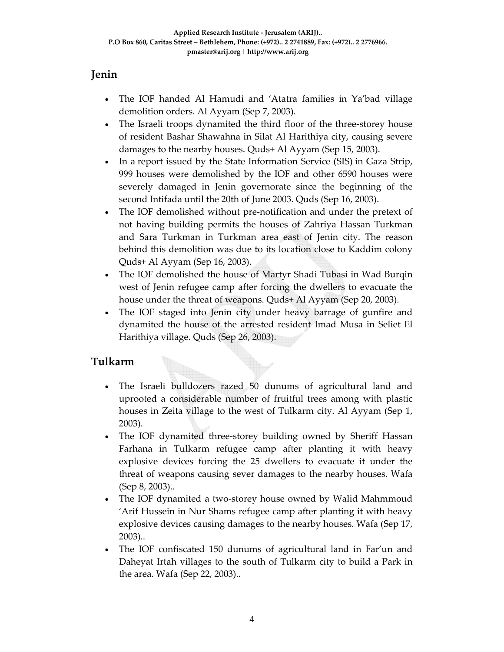### **Jenin**

- The IOF handed Al Hamudi and 'Atatra families in Ya'bad village demolition orders. Al Ayyam (Sep 7, 2003).
- The Israeli troops dynamited the third floor of the three-storey house of resident Bashar Shawahna in Silat Al Harithiya city, causing severe damages to the nearby houses. Quds+ Al Ayyam (Sep 15, 2003).
- In a report issued by the State Information Service (SIS) in Gaza Strip, 999 houses were demolished by the IOF and other 6590 houses were severely damaged in Jenin governorate since the beginning of the second Intifada until the 20th of June 2003. Quds (Sep 16, 2003).
- The IOF demolished without pre-notification and under the pretext of not having building permits the houses of Zahriya Hassan Turkman and Sara Turkman in Turkman area east of Jenin city. The reason behind this demolition was due to its location close to Kaddim colony Quds+ Al Ayyam (Sep 16, 2003).
- The IOF demolished the house of Martyr Shadi Tubasi in Wad Burqin west of Jenin refugee camp after forcing the dwellers to evacuate the house under the threat of weapons. Quds+ Al Ayyam (Sep 20, 2003).
- The IOF staged into Jenin city under heavy barrage of gunfire and dynamited the house of the arrested resident Imad Musa in Seliet El Harithiya village. Quds (Sep 26, 2003).

### **Tulkarm**

- The Israeli bulldozers razed 50 dunums of agricultural land and uprooted a considerable number of fruitful trees among with plastic houses in Zeita village to the west of Tulkarm city. Al Ayyam (Sep 1, 2003).
- The IOF dynamited three-storey building owned by Sheriff Hassan Farhana in Tulkarm refugee camp after planting it with heavy explosive devices forcing the 25 dwellers to evacuate it under the threat of weapons causing sever damages to the nearby houses. Wafa (Sep 8, 2003)..
- The IOF dynamited a two-storey house owned by Walid Mahmmoud 'Arif Hussein in Nur Shams refugee camp after planting it with heavy explosive devices causing damages to the nearby houses. Wafa (Sep 17, 2003)..
- The IOF confiscated 150 dunums of agricultural land in Far'un and Daheyat Irtah villages to the south of Tulkarm city to build a Park in the area. Wafa (Sep 22, 2003)..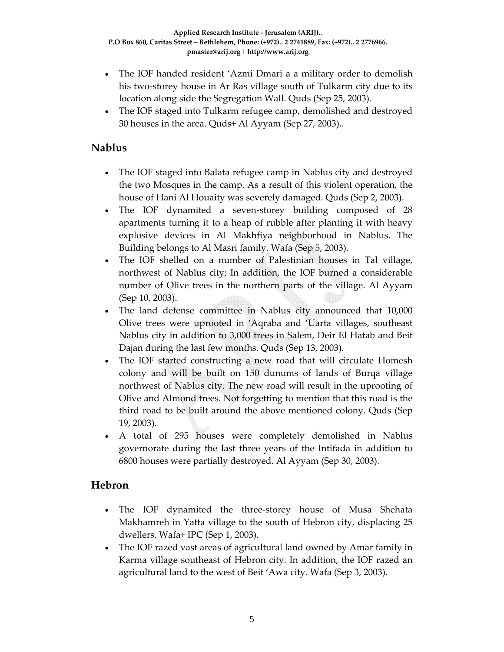- The IOF handed resident 'Azmi Dmari a a military order to demolish his two‐storey house in Ar Ras village south of Tulkarm city due to its location along side the Segregation Wall. Quds (Sep 25, 2003).
- The IOF staged into Tulkarm refugee camp, demolished and destroyed 30 houses in the area. Quds+ Al Ayyam (Sep 27, 2003)..

### **Nablus**

- The IOF staged into Balata refugee camp in Nablus city and destroyed the two Mosques in the camp. As a result of this violent operation, the house of Hani Al Houaity was severely damaged. Quds (Sep 2, 2003).
- The IOF dynamited a seven-storey building composed of 28 apartments turning it to a heap of rubble after planting it with heavy explosive devices in Al Makhfiya neighborhood in Nablus. The Building belongs to Al Masri family. Wafa (Sep 5, 2003).
- The IOF shelled on a number of Palestinian houses in Tal village, northwest of Nablus city; In addition, the IOF burned a considerable number of Olive trees in the northern parts of the village. Al Ayyam (Sep 10, 2003).
- The land defense committee in Nablus city announced that 10,000 Olive trees were uprooted in 'Aqraba and 'Uarta villages, southeast Nablus city in addition to 3,000 trees in Salem, Deir El Hatab and Beit Dajan during the last few months. Quds (Sep 13, 2003).
- The IOF started constructing a new road that will circulate Homesh colony and will be built on 150 dunums of lands of Burqa village northwest of Nablus city. The new road will result in the uprooting of Olive and Almond trees. Not forgetting to mention that this road is the third road to be built around the above mentioned colony. Quds (Sep 19, 2003).
- A total of 295 houses were completely demolished in Nablus governorate during the last three years of the Intifada in addition to 6800 houses were partially destroyed. Al Ayyam (Sep 30, 2003).

#### **Hebron**

- The IOF dynamited the three‐storey house of Musa Shehata Makhamreh in Yatta village to the south of Hebron city, displacing 25 dwellers. Wafa+ IPC (Sep 1, 2003).
- The IOF razed vast areas of agricultural land owned by Amar family in Karma village southeast of Hebron city. In addition, the IOF razed an agricultural land to the west of Beit 'Awa city. Wafa (Sep 3, 2003).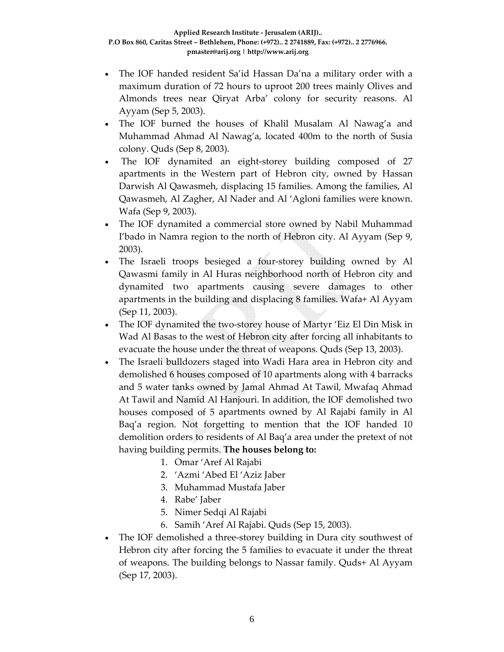- The IOF handed resident Sa'id Hassan Da'na a military order with a maximum duration of 72 hours to uproot 200 trees mainly Olives and Almonds trees near Qiryat Arba' colony for security reasons. Al Ayyam (Sep 5, 2003).
- The IOF burned the houses of Khalil Musalam Al Nawag'a and Muhammad Ahmad Al Nawag'a, located 400m to the north of Susia colony. Quds (Sep 8, 2003).
- The IOF dynamited an eight-storey building composed of 27 apartments in the Western part of Hebron city, owned by Hassan Darwish Al Qawasmeh, displacing 15 families. Among the families, Al Qawasmeh, Al Zagher, Al Nader and Al 'Agloni families were known. Wafa (Sep 9, 2003).
- The IOF dynamited a commercial store owned by Nabil Muhammad I'bado in Namra region to the north of Hebron city. Al Ayyam (Sep 9, 2003).
- The Israeli troops besieged a four-storey building owned by Al Qawasmi family in Al Huras neighborhood north of Hebron city and dynamited two apartments causing severe damages to other apartments in the building and displacing 8 families. Wafa+ Al Ayyam (Sep 11, 2003).
- The IOF dynamited the two-storey house of Martyr 'Eiz El Din Misk in Wad Al Basas to the west of Hebron city after forcing all inhabitants to evacuate the house under the threat of weapons. Quds (Sep 13, 2003).
- The Israeli bulldozers staged into Wadi Hara area in Hebron city and demolished 6 houses composed of 10 apartments along with 4 barracks and 5 water tanks owned by Jamal Ahmad At Tawil, Mwafaq Ahmad At Tawil and Namid Al Hanjouri. In addition, the IOF demolished two houses composed of 5 apartments owned by Al Rajabi family in Al Baq'a region. Not forgetting to mention that the IOF handed 10 demolition orders to residents of Al Baq'a area under the pretext of not having building permits. **The houses belong to:**
	- 1. Omar 'Aref Al Rajabi
	- 2. 'Azmi 'Abed El 'Aziz Jaber
	- 3. Muhammad Mustafa Jaber
	- 4. Rabe' Jaber
	- 5. Nimer Sedqi Al Rajabi
	- 6. Samih 'Aref Al Rajabi. Quds (Sep 15, 2003).
- The IOF demolished a three-storey building in Dura city southwest of Hebron city after forcing the 5 families to evacuate it under the threat of weapons. The building belongs to Nassar family. Quds+ Al Ayyam (Sep 17, 2003).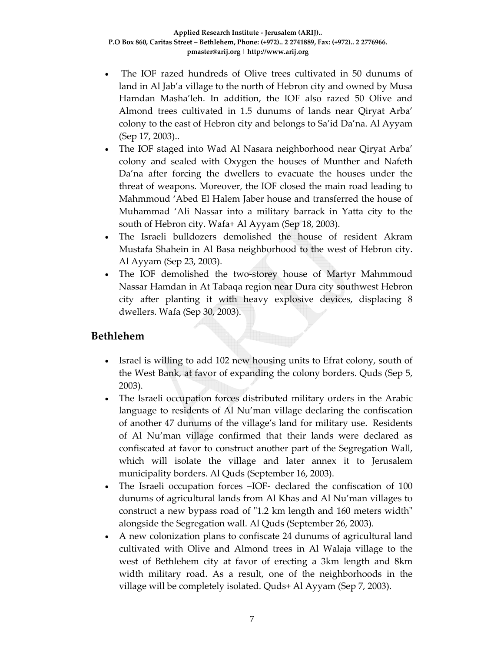- The IOF razed hundreds of Olive trees cultivated in 50 dunums of land in Al Jab'a village to the north of Hebron city and owned by Musa Hamdan Masha'leh. In addition, the IOF also razed 50 Olive and Almond trees cultivated in 1.5 dunums of lands near Qiryat Arba' colony to the east of Hebron city and belongs to Sa'id Da'na. Al Ayyam (Sep 17, 2003)..
- The IOF staged into Wad Al Nasara neighborhood near Qiryat Arba' colony and sealed with Oxygen the houses of Munther and Nafeth Da'na after forcing the dwellers to evacuate the houses under the threat of weapons. Moreover, the IOF closed the main road leading to Mahmmoud 'Abed El Halem Jaber house and transferred the house of Muhammad 'Ali Nassar into a military barrack in Yatta city to the south of Hebron city. Wafa+ Al Ayyam (Sep 18, 2003).
- The Israeli bulldozers demolished the house of resident Akram Mustafa Shahein in Al Basa neighborhood to the west of Hebron city. Al Ayyam (Sep 23, 2003).
- The IOF demolished the two-storey house of Martyr Mahmmoud Nassar Hamdan in At Tabaqa region near Dura city southwest Hebron city after planting it with heavy explosive devices, displacing 8 dwellers. Wafa (Sep 30, 2003).

#### **Bethlehem**

- Israel is willing to add 102 new housing units to Efrat colony, south of the West Bank, at favor of expanding the colony borders. Quds (Sep 5, 2003).
- The Israeli occupation forces distributed military orders in the Arabic language to residents of Al Nu'man village declaring the confiscation of another 47 dunums of the village's land for military use. Residents of Al Nu'man village confirmed that their lands were declared as confiscated at favor to construct another part of the Segregation Wall, which will isolate the village and later annex it to Jerusalem municipality borders. Al Quds (September 16, 2003).
- The Israeli occupation forces –IOF- declared the confiscation of 100 dunums of agricultural lands from Al Khas and Al Nu'man villages to construct a new bypass road of "1.2 km length and 160 meters width" alongside the Segregation wall. Al Quds (September 26, 2003).
- A new colonization plans to confiscate 24 dunums of agricultural land cultivated with Olive and Almond trees in Al Walaja village to the west of Bethlehem city at favor of erecting a 3km length and 8km width military road. As a result, one of the neighborhoods in the village will be completely isolated. Quds+ Al Ayyam (Sep 7, 2003).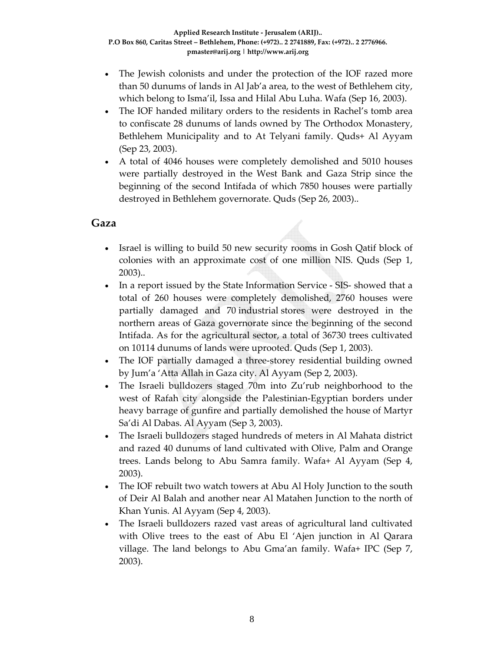- The Jewish colonists and under the protection of the IOF razed more than 50 dunums of lands in Al Jab'a area, to the west of Bethlehem city, which belong to Isma'il, Issa and Hilal Abu Luha. Wafa (Sep 16, 2003).
- The IOF handed military orders to the residents in Rachel's tomb area to confiscate 28 dunums of lands owned by The Orthodox Monastery, Bethlehem Municipality and to At Telyani family. Quds+ Al Ayyam (Sep 23, 2003).
- A total of 4046 houses were completely demolished and 5010 houses were partially destroyed in the West Bank and Gaza Strip since the beginning of the second Intifada of which 7850 houses were partially destroyed in Bethlehem governorate. Quds (Sep 26, 2003)..

#### **Gaza**

- Israel is willing to build 50 new security rooms in Gosh Qatif block of colonies with an approximate cost of one million NIS. Quds (Sep 1, 2003)..
- In a report issued by the State Information Service SIS- showed that a total of 260 houses were completely demolished, 2760 houses were partially damaged and 70 industrial stores were destroyed in the northern areas of Gaza governorate since the beginning of the second Intifada. As for the agricultural sector, a total of 36730 trees cultivated on 10114 dunums of lands were uprooted. Quds (Sep 1, 2003).
- The IOF partially damaged a three-storey residential building owned by Jum'a 'Atta Allah in Gaza city. Al Ayyam (Sep 2, 2003).
- The Israeli bulldozers staged 70m into Zu'rub neighborhood to the west of Rafah city alongside the Palestinian‐Egyptian borders under heavy barrage of gunfire and partially demolished the house of Martyr Sa'di Al Dabas. Al Ayyam (Sep 3, 2003).
- The Israeli bulldozers staged hundreds of meters in Al Mahata district and razed 40 dunums of land cultivated with Olive, Palm and Orange trees. Lands belong to Abu Samra family. Wafa+ Al Ayyam (Sep 4, 2003).
- The IOF rebuilt two watch towers at Abu Al Holy Junction to the south of Deir Al Balah and another near Al Matahen Junction to the north of Khan Yunis. Al Ayyam (Sep 4, 2003).
- The Israeli bulldozers razed vast areas of agricultural land cultivated with Olive trees to the east of Abu El 'Ajen junction in Al Qarara village. The land belongs to Abu Gma'an family. Wafa+ IPC (Sep 7, 2003).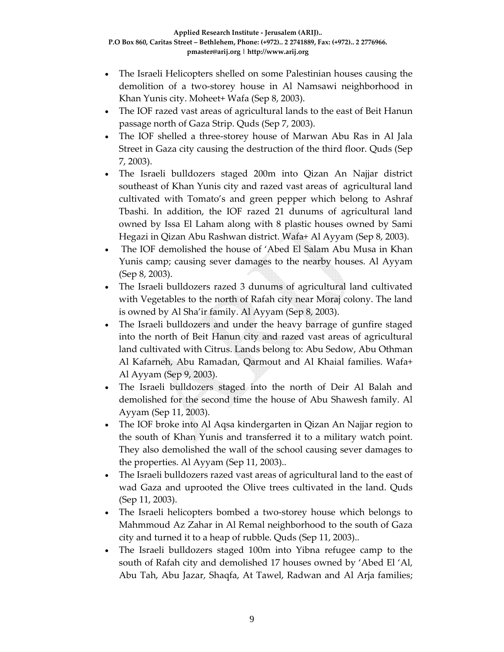- The Israeli Helicopters shelled on some Palestinian houses causing the demolition of a two‐storey house in Al Namsawi neighborhood in Khan Yunis city. Moheet+ Wafa (Sep 8, 2003).
- The IOF razed vast areas of agricultural lands to the east of Beit Hanun passage north of Gaza Strip. Quds (Sep 7, 2003).
- The IOF shelled a three‐storey house of Marwan Abu Ras in Al Jala Street in Gaza city causing the destruction of the third floor. Quds (Sep 7, 2003).
- The Israeli bulldozers staged 200m into Qizan An Najjar district southeast of Khan Yunis city and razed vast areas of agricultural land cultivated with Tomato's and green pepper which belong to Ashraf Tbashi. In addition, the IOF razed 21 dunums of agricultural land owned by Issa El Laham along with 8 plastic houses owned by Sami Hegazi in Qizan Abu Rashwan district. Wafa+ Al Ayyam (Sep 8, 2003).
- The IOF demolished the house of 'Abed El Salam Abu Musa in Khan Yunis camp; causing sever damages to the nearby houses. Al Ayyam (Sep 8, 2003).
- The Israeli bulldozers razed 3 dunums of agricultural land cultivated with Vegetables to the north of Rafah city near Moraj colony. The land is owned by Al Sha'ir family. Al Ayyam (Sep 8, 2003).
- The Israeli bulldozers and under the heavy barrage of gunfire staged into the north of Beit Hanun city and razed vast areas of agricultural land cultivated with Citrus. Lands belong to: Abu Sedow, Abu Othman Al Kafarneh, Abu Ramadan, Qarmout and Al Khaial families. Wafa+ Al Ayyam (Sep 9, 2003).
- The Israeli bulldozers staged into the north of Deir Al Balah and demolished for the second time the house of Abu Shawesh family. Al Ayyam (Sep 11, 2003).
- The IOF broke into Al Aqsa kindergarten in Qizan An Najjar region to the south of Khan Yunis and transferred it to a military watch point. They also demolished the wall of the school causing sever damages to the properties. Al Ayyam (Sep 11, 2003)..
- The Israeli bulldozers razed vast areas of agricultural land to the east of wad Gaza and uprooted the Olive trees cultivated in the land. Quds (Sep 11, 2003).
- The Israeli helicopters bombed a two-storey house which belongs to Mahmmoud Az Zahar in Al Remal neighborhood to the south of Gaza city and turned it to a heap of rubble. Quds (Sep 11, 2003)..
- The Israeli bulldozers staged 100m into Yibna refugee camp to the south of Rafah city and demolished 17 houses owned by 'Abed El 'Al, Abu Tah, Abu Jazar, Shaqfa, At Tawel, Radwan and Al Arja families;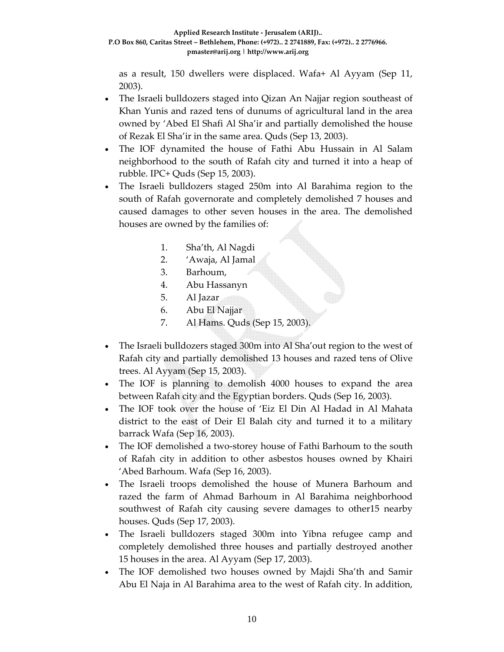as a result, 150 dwellers were displaced. Wafa+ Al Ayyam (Sep 11, 2003).

- The Israeli bulldozers staged into Qizan An Najjar region southeast of Khan Yunis and razed tens of dunums of agricultural land in the area owned by 'Abed El Shafi Al Sha'ir and partially demolished the house of Rezak El Sha'ir in the same area. Quds (Sep 13, 2003).
- The IOF dynamited the house of Fathi Abu Hussain in Al Salam neighborhood to the south of Rafah city and turned it into a heap of rubble. IPC+ Quds (Sep 15, 2003).
- The Israeli bulldozers staged 250m into Al Barahima region to the south of Rafah governorate and completely demolished 7 houses and caused damages to other seven houses in the area. The demolished houses are owned by the families of:
	- 1. Sha'th, Al Nagdi
	- 2. 'Awaja, Al Jamal
	- 3. Barhoum,
	- 4. Abu Hassanyn
	- 5. Al Jazar
	- 6. Abu El Najjar
	- 7. Al Hams. Quds (Sep 15, 2003).
- The Israeli bulldozers staged 300m into Al Sha'out region to the west of Rafah city and partially demolished 13 houses and razed tens of Olive trees. Al Ayyam (Sep 15, 2003).
- The IOF is planning to demolish 4000 houses to expand the area between Rafah city and the Egyptian borders. Quds (Sep 16, 2003).
- The IOF took over the house of 'Eiz El Din Al Hadad in Al Mahata district to the east of Deir El Balah city and turned it to a military barrack Wafa (Sep 16, 2003).
- The IOF demolished a two-storey house of Fathi Barhoum to the south of Rafah city in addition to other asbestos houses owned by Khairi 'Abed Barhoum. Wafa (Sep 16, 2003).
- The Israeli troops demolished the house of Munera Barhoum and razed the farm of Ahmad Barhoum in Al Barahima neighborhood southwest of Rafah city causing severe damages to other15 nearby houses. Quds (Sep 17, 2003).
- The Israeli bulldozers staged 300m into Yibna refugee camp and completely demolished three houses and partially destroyed another 15 houses in the area. Al Ayyam (Sep 17, 2003).
- The IOF demolished two houses owned by Majdi Sha'th and Samir Abu El Naja in Al Barahima area to the west of Rafah city. In addition,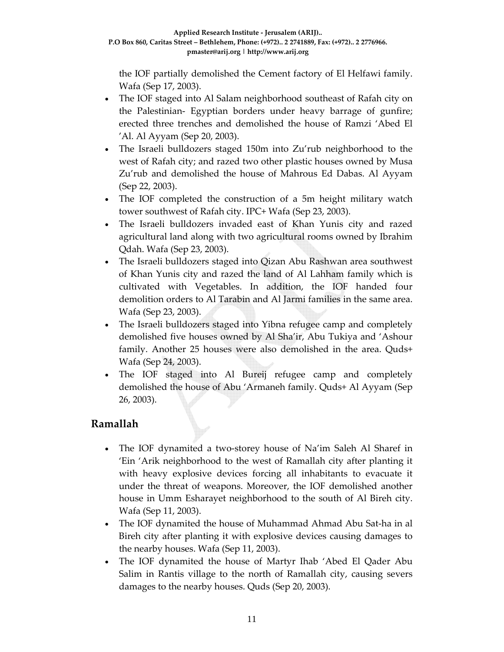the IOF partially demolished the Cement factory of El Helfawi family. Wafa (Sep 17, 2003).

- The IOF staged into Al Salam neighborhood southeast of Rafah city on the Palestinian‐ Egyptian borders under heavy barrage of gunfire; erected three trenches and demolished the house of Ramzi 'Abed El 'Al. Al Ayyam (Sep 20, 2003).
- The Israeli bulldozers staged 150m into Zu'rub neighborhood to the west of Rafah city; and razed two other plastic houses owned by Musa Zu'rub and demolished the house of Mahrous Ed Dabas. Al Ayyam (Sep 22, 2003).
- The IOF completed the construction of a 5m height military watch tower southwest of Rafah city. IPC+ Wafa (Sep 23, 2003).
- The Israeli bulldozers invaded east of Khan Yunis city and razed agricultural land along with two agricultural rooms owned by Ibrahim Qdah. Wafa (Sep 23, 2003).
- The Israeli bulldozers staged into Qizan Abu Rashwan area southwest of Khan Yunis city and razed the land of Al Lahham family which is cultivated with Vegetables. In addition, the IOF handed four demolition orders to Al Tarabin and Al Jarmi families in the same area. Wafa (Sep 23, 2003).
- The Israeli bulldozers staged into Yibna refugee camp and completely demolished five houses owned by Al Sha'ir, Abu Tukiya and 'Ashour family. Another 25 houses were also demolished in the area. Quds+ Wafa (Sep 24, 2003).
- The IOF staged into Al Bureij refugee camp and completely demolished the house of Abu 'Armaneh family. Quds+ Al Ayyam (Sep 26, 2003).

#### **Ramallah**

- The IOF dynamited a two-storey house of Na'im Saleh Al Sharef in 'Ein 'Arik neighborhood to the west of Ramallah city after planting it with heavy explosive devices forcing all inhabitants to evacuate it under the threat of weapons. Moreover, the IOF demolished another house in Umm Esharayet neighborhood to the south of Al Bireh city. Wafa (Sep 11, 2003).
- The IOF dynamited the house of Muhammad Ahmad Abu Sat‐ha in al Bireh city after planting it with explosive devices causing damages to the nearby houses. Wafa (Sep 11, 2003).
- The IOF dynamited the house of Martyr Ihab 'Abed El Qader Abu Salim in Rantis village to the north of Ramallah city, causing severs damages to the nearby houses. Quds (Sep 20, 2003).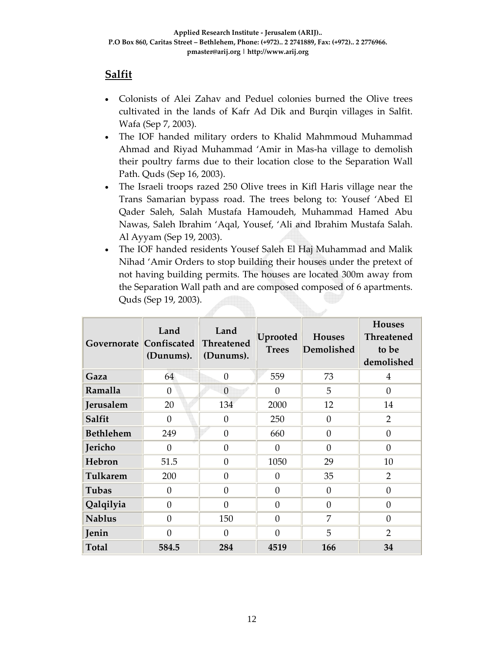### **Salfit**

- Colonists of Alei Zahav and Peduel colonies burned the Olive trees cultivated in the lands of Kafr Ad Dik and Burqin villages in Salfit. Wafa (Sep 7, 2003).
- The IOF handed military orders to Khalid Mahmmoud Muhammad Ahmad and Riyad Muhammad 'Amir in Mas‐ha village to demolish their poultry farms due to their location close to the Separation Wall Path. Quds (Sep 16, 2003).
- The Israeli troops razed 250 Olive trees in Kifl Haris village near the Trans Samarian bypass road. The trees belong to: Yousef 'Abed El Qader Saleh, Salah Mustafa Hamoudeh, Muhammad Hamed Abu Nawas, Saleh Ibrahim 'Aqal, Yousef, 'Ali and Ibrahim Mustafa Salah. Al Ayyam (Sep 19, 2003).
- The IOF handed residents Yousef Saleh El Haj Muhammad and Malik Nihad 'Amir Orders to stop building their houses under the pretext of not having building permits. The houses are located 300m away from the Separation Wall path and are composed composed of 6 apartments. Quds (Sep 19, 2003).

| Governorate Confiscated | Land<br>(Dunums). | Land<br>Threatened<br>(Dunums). | Uprooted<br><b>Trees</b> | <b>Houses</b><br>Demolished | <b>Houses</b><br><b>Threatened</b><br>to be<br>demolished |
|-------------------------|-------------------|---------------------------------|--------------------------|-----------------------------|-----------------------------------------------------------|
| Gaza                    | 64                | $\Omega$                        | 559                      | 73                          | $\overline{4}$                                            |
| Ramalla                 | $\Omega$          | $\theta$                        | $\Omega$                 | 5                           | $\Omega$                                                  |
| Jerusalem               | 20                | 134                             | 2000                     | 12                          | 14                                                        |
| Salfit                  | $\theta$          | $\overline{0}$                  | 250                      | $\overline{0}$              | $\overline{2}$                                            |
| <b>Bethlehem</b>        | 249               | $\Omega$                        | 660                      | $\theta$                    | $\Omega$                                                  |
| Jericho                 | 0                 | $\theta$                        | $\Omega$                 | $\overline{0}$              | $\theta$                                                  |
| Hebron                  | 51.5              | $\Omega$                        | 1050                     | 29                          | 10                                                        |
| Tulkarem                | 200               | $\theta$                        | $\Omega$                 | 35                          | $\overline{2}$                                            |
| Tubas                   | $\Omega$          | $\Omega$                        | $\Omega$                 | $\theta$                    | $\theta$                                                  |
| Qalqilyia               | $\theta$          | $\theta$                        | $\Omega$                 | $\overline{0}$              | $\theta$                                                  |
| <b>Nablus</b>           | $\Omega$          | 150                             | $\Omega$                 | 7                           | $\Omega$                                                  |
| Jenin                   | $\Omega$          | $\theta$                        | $\Omega$                 | 5                           | $\overline{2}$                                            |
| <b>Total</b>            | 584.5             | 284                             | 4519                     | 166                         | 34                                                        |